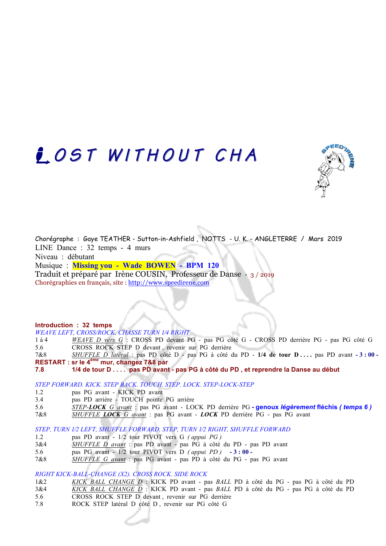## **COST WITHOUT CHA**



Chorégraphe : Gaye TEATHER - Sutton-in-Ashfield , NOTTS - U. K. - ANGLETERRE / Mars 2019 LINE Dance : 32 temps - 4 murs Niveau : débutant Musique : **Missing you - Wade BOWEN - BPM 120** 

Traduit et préparé par Irène COUSIN, Professeur de Danse - 3 / 2019 Chorégraphies en français, site : http://www.speedirene.com

### **Introduction : 32 temps**

*WEAVE LEFT, CROSS/ROCK, CHASSE TURN 1⁄4 RIGHT* 

- 1 à 4 *WEAVE D vers G* : CROSS PD devant PG pas PG côté G CROSS PD derrière PG pas PG côté G 5.6 CROSS ROCK STEP D devant , revenir sur PG derrière
- 7&8 *SHUFFLE D latéral* : pas PD côté D pas PG à côté du PD **1/4 de tour D . . . .** pas PD avant **- 3 : 00 RESTART : sr le 4ème mur, changez 7&8 par**
- **7.8 1/4 de tour D . . . . pas PD avant - pas PG à côté du PD , et reprendre la Danse au début**

### *STEP FORWARD. KICK. STEP BACK. TOUCH. STEP. LOCK. STEP-LOCK-STEP*

- 1.2 pas PG avant KICK PD avant
- 3.4 pas PD arrière TOUCH pointe PG arrière
- 5.6 *STEP-LOCK G avant* : pas PG avant LOCK PD derrière PG **- genoux** *légèrement* **fléchis** *( temps 6 )*
- 7&8 *SHUFFLE LOCK G avant* : pas PG avant *LOCK* PD derrière PG pas PG avant

*STEP, TURN 1⁄2 LEFT, SHUFFLE FORWARD, STEP, TURN 1⁄2 RIGHT, SHUFFLE FORWARD*

- 1.2 pas PD avant 1/2 tour PIVOT vers G *( appui PG )*
- 3&4 *SHUFFLE D avant* : pas PD avant pas PG à côté du PD pas PD avant
- 5.6 pas PG avant 1/2 tour PIVOT vers D *( appui PD )* **- 3 : 00**
- 7&8 *SHUFFLE G avant* : pas PG avant pas PD à côté du PG pas PG avant

*RIGHT KICK-BALL-CHANGE (X2). CROSS ROCK. SIDE ROCK*

- 1&2 *KICK BALL CHANGE D* : KICK PD avant pas *BALL* PD à côté du PG pas PG à côté du PD
- 3&4 *KICK BALL CHANGE D* : KICK PD avant pas *BALL* PD à côté du PG pas PG à côté du PD
- 5.6 CROSS ROCK STEP D devant , revenir sur PG derrière
- 7.8 ROCK STEP latéral D côté D , revenir sur PG côté G